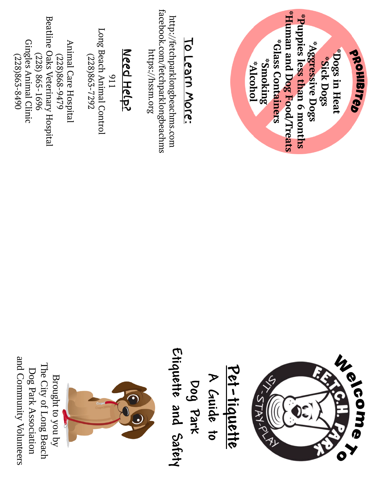| Beatline Oaks Veterinary Hospital<br>Gingles Animal Clinic<br>Animal Care Hospital<br>$(228)$ 865-1696<br>(228)868-9479<br>(228)863-8490                                     |
|------------------------------------------------------------------------------------------------------------------------------------------------------------------------------|
| Long Beach Animal Control<br>Need Help?<br>(228)865-7292<br>116                                                                                                              |
| facebook.com/fetchparklongbeachms<br>http://fetchparklongbeachms.com<br><u>To Learn More:</u><br>https://hssm.org                                                            |
| *Human and Dog Food/Treats<br>"Puppies less than 6 months<br>*Glass Containers<br>*Aggressive Dogs<br>Dogs in Heat<br>orohisites<br>*Sick Dogs<br>*Smoking<br><b>IonolA*</b> |



**Pet-tiquette A Guide to** Dog Park<br>Etiquette and Safety **Etiquette and Safety**

 $\bigcirc$ 

Brought to you by The City of Long Beach Dog Park Association and Community Volunteers

Brought to you by

The City of Long Beach Dog Park Association

and Community Volunteers